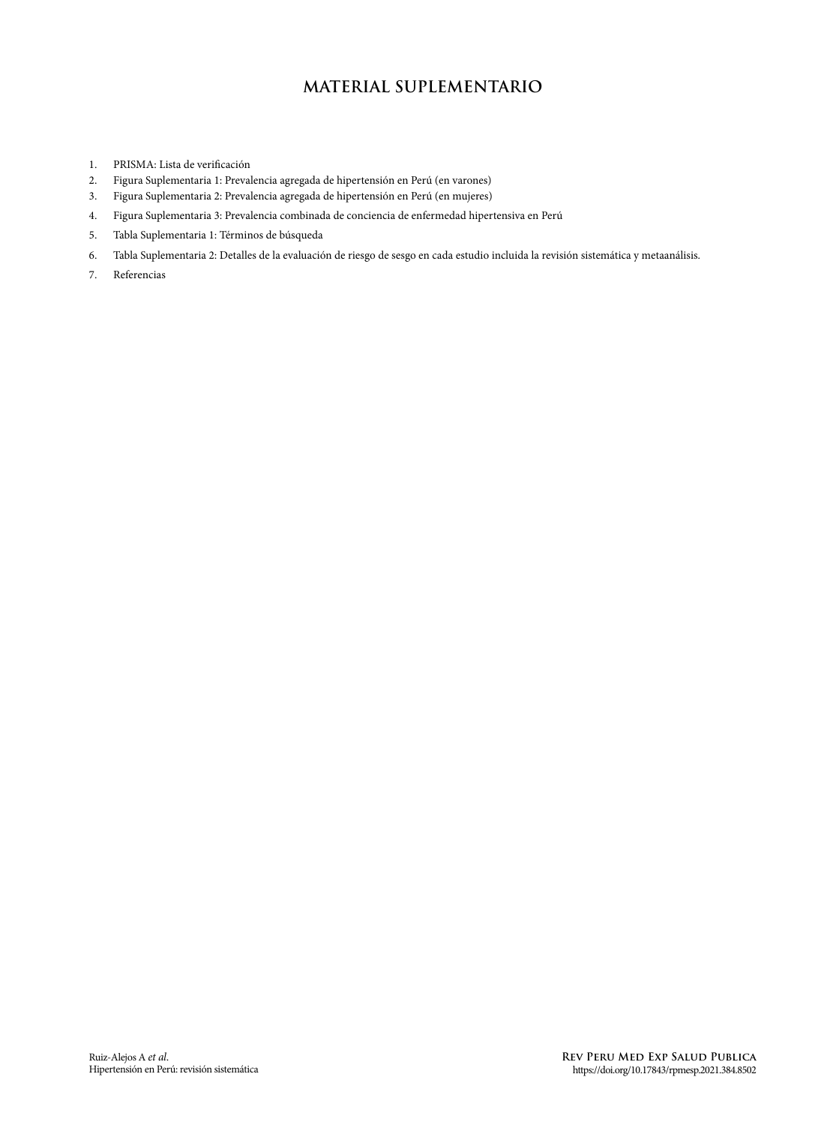### **MATERIAL SUPLEMENTARIO**

- 1. PRISMA: Lista de verificación<br>2. Figura Suplementaria 1: Preval
- 2. Figura Suplementaria 1: Prevalencia agregada de hipertensión en Perú (en varones)
- 3. Figura Suplementaria 2: Prevalencia agregada de hipertensión en Perú (en mujeres)
- 4. Figura Suplementaria 3: Prevalencia combinada de conciencia de enfermedad hipertensiva en Perú
- 5. Tabla Suplementaria 1: Términos de búsqueda
- 6. Tabla Suplementaria 2: Detalles de la evaluación de riesgo de sesgo en cada estudio incluida la revisión sistemática y metaanálisis.
- 7. Referencias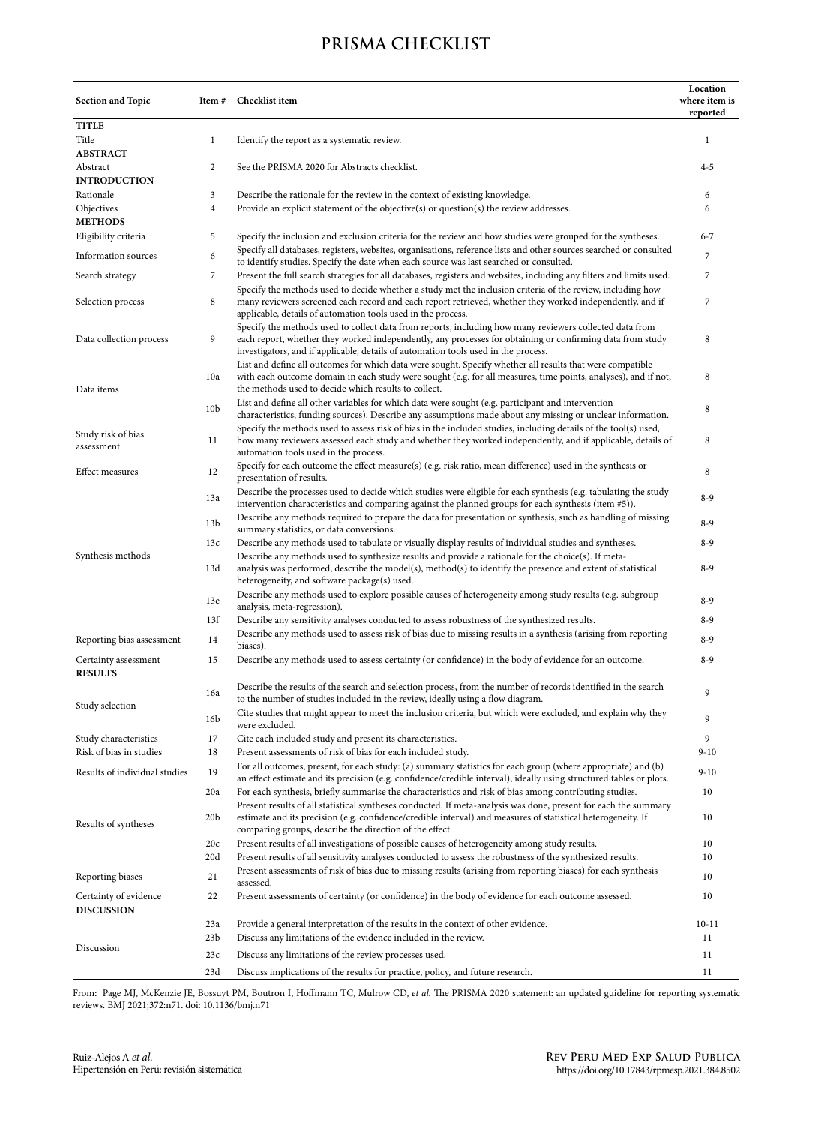### **PRISMA CHECKLIST**

| <b>Section and Topic</b>                                                                                                                                                                                                                         | Checklist item<br>Item#                                                                                          |                                                                                                                                                                                                                                                                                                            | Location<br>where item is<br>reported |  |  |
|--------------------------------------------------------------------------------------------------------------------------------------------------------------------------------------------------------------------------------------------------|------------------------------------------------------------------------------------------------------------------|------------------------------------------------------------------------------------------------------------------------------------------------------------------------------------------------------------------------------------------------------------------------------------------------------------|---------------------------------------|--|--|
| <b>TITLE</b>                                                                                                                                                                                                                                     |                                                                                                                  |                                                                                                                                                                                                                                                                                                            |                                       |  |  |
| Title                                                                                                                                                                                                                                            | $\mathbf{1}$<br>Identify the report as a systematic review.                                                      |                                                                                                                                                                                                                                                                                                            | $\mathbf{1}$                          |  |  |
| <b>ABSTRACT</b>                                                                                                                                                                                                                                  |                                                                                                                  |                                                                                                                                                                                                                                                                                                            |                                       |  |  |
| Abstract                                                                                                                                                                                                                                         | 2                                                                                                                | See the PRISMA 2020 for Abstracts checklist.                                                                                                                                                                                                                                                               |                                       |  |  |
| <b>INTRODUCTION</b>                                                                                                                                                                                                                              |                                                                                                                  |                                                                                                                                                                                                                                                                                                            |                                       |  |  |
| 3<br>Rationale<br>Describe the rationale for the review in the context of existing knowledge.                                                                                                                                                    |                                                                                                                  | 6                                                                                                                                                                                                                                                                                                          |                                       |  |  |
| $\overline{4}$<br>Objectives<br>Provide an explicit statement of the objective(s) or question(s) the review addresses.                                                                                                                           |                                                                                                                  | 6                                                                                                                                                                                                                                                                                                          |                                       |  |  |
| <b>METHODS</b>                                                                                                                                                                                                                                   |                                                                                                                  |                                                                                                                                                                                                                                                                                                            |                                       |  |  |
| Eligibility criteria                                                                                                                                                                                                                             | 5<br>Specify the inclusion and exclusion criteria for the review and how studies were grouped for the syntheses. |                                                                                                                                                                                                                                                                                                            | $6 - 7$                               |  |  |
| Information sources                                                                                                                                                                                                                              | 6                                                                                                                | Specify all databases, registers, websites, organisations, reference lists and other sources searched or consulted<br>to identify studies. Specify the date when each source was last searched or consulted.                                                                                               | $\overline{7}$                        |  |  |
| 7<br>Search strategy                                                                                                                                                                                                                             |                                                                                                                  | Present the full search strategies for all databases, registers and websites, including any filters and limits used.                                                                                                                                                                                       | 7                                     |  |  |
| Specify the methods used to decide whether a study met the inclusion criteria of the review, including how<br>8<br>many reviewers screened each record and each report retrieved, whether they worked independently, and if<br>Selection process |                                                                                                                  |                                                                                                                                                                                                                                                                                                            | 7                                     |  |  |
|                                                                                                                                                                                                                                                  |                                                                                                                  | applicable, details of automation tools used in the process.                                                                                                                                                                                                                                               |                                       |  |  |
| Data collection process<br>9                                                                                                                                                                                                                     |                                                                                                                  | Specify the methods used to collect data from reports, including how many reviewers collected data from<br>each report, whether they worked independently, any processes for obtaining or confirming data from study<br>investigators, and if applicable, details of automation tools used in the process. | 8                                     |  |  |
|                                                                                                                                                                                                                                                  | 10a                                                                                                              | List and define all outcomes for which data were sought. Specify whether all results that were compatible<br>with each outcome domain in each study were sought (e.g. for all measures, time points, analyses), and if not,                                                                                | 8                                     |  |  |
| Data items                                                                                                                                                                                                                                       |                                                                                                                  | the methods used to decide which results to collect.                                                                                                                                                                                                                                                       |                                       |  |  |
|                                                                                                                                                                                                                                                  | 10 <sub>b</sub>                                                                                                  | List and define all other variables for which data were sought (e.g. participant and intervention<br>characteristics, funding sources). Describe any assumptions made about any missing or unclear information.                                                                                            | 8                                     |  |  |
| Study risk of bias<br>assessment                                                                                                                                                                                                                 | 11                                                                                                               | Specify the methods used to assess risk of bias in the included studies, including details of the tool(s) used,<br>how many reviewers assessed each study and whether they worked independently, and if applicable, details of<br>automation tools used in the process.                                    |                                       |  |  |
| <b>Effect measures</b>                                                                                                                                                                                                                           | 12                                                                                                               | Specify for each outcome the effect measure(s) (e.g. risk ratio, mean difference) used in the synthesis or<br>presentation of results.                                                                                                                                                                     | 8                                     |  |  |
|                                                                                                                                                                                                                                                  | 13a                                                                                                              | Describe the processes used to decide which studies were eligible for each synthesis (e.g. tabulating the study<br>intervention characteristics and comparing against the planned groups for each synthesis (item #5)).                                                                                    | $8 - 9$                               |  |  |
|                                                                                                                                                                                                                                                  | 13 <sub>b</sub>                                                                                                  | Describe any methods required to prepare the data for presentation or synthesis, such as handling of missing<br>summary statistics, or data conversions.                                                                                                                                                   | $8 - 9$                               |  |  |
|                                                                                                                                                                                                                                                  | 13c                                                                                                              | Describe any methods used to tabulate or visually display results of individual studies and syntheses.                                                                                                                                                                                                     | $8 - 9$                               |  |  |
| Synthesis methods                                                                                                                                                                                                                                |                                                                                                                  | Describe any methods used to synthesize results and provide a rationale for the choice(s). If meta-                                                                                                                                                                                                        |                                       |  |  |
|                                                                                                                                                                                                                                                  | 13d                                                                                                              | analysis was performed, describe the model(s), method(s) to identify the presence and extent of statistical<br>heterogeneity, and software package(s) used.                                                                                                                                                | $8 - 9$                               |  |  |
|                                                                                                                                                                                                                                                  | 13e                                                                                                              | Describe any methods used to explore possible causes of heterogeneity among study results (e.g. subgroup<br>analysis, meta-regression).                                                                                                                                                                    | $8 - 9$                               |  |  |
|                                                                                                                                                                                                                                                  | 13f                                                                                                              | Describe any sensitivity analyses conducted to assess robustness of the synthesized results.                                                                                                                                                                                                               | $8 - 9$                               |  |  |
| Reporting bias assessment                                                                                                                                                                                                                        | 14                                                                                                               | Describe any methods used to assess risk of bias due to missing results in a synthesis (arising from reporting<br>biases).                                                                                                                                                                                 | $8 - 9$                               |  |  |
| Certainty assessment                                                                                                                                                                                                                             | 15                                                                                                               | Describe any methods used to assess certainty (or confidence) in the body of evidence for an outcome.                                                                                                                                                                                                      | $8 - 9$                               |  |  |
| <b>RESULTS</b>                                                                                                                                                                                                                                   | 16a                                                                                                              | Describe the results of the search and selection process, from the number of records identified in the search                                                                                                                                                                                              | 9                                     |  |  |
| Study selection                                                                                                                                                                                                                                  | 16 <sub>b</sub>                                                                                                  | to the number of studies included in the review, ideally using a flow diagram.<br>Cite studies that might appear to meet the inclusion criteria, but which were excluded, and explain why they                                                                                                             | 9                                     |  |  |
|                                                                                                                                                                                                                                                  |                                                                                                                  | were excluded.                                                                                                                                                                                                                                                                                             |                                       |  |  |
| Study characteristics                                                                                                                                                                                                                            | 17                                                                                                               | Cite each included study and present its characteristics.                                                                                                                                                                                                                                                  | 9                                     |  |  |
| Risk of bias in studies<br>Results of individual studies                                                                                                                                                                                         | 18<br>19                                                                                                         | Present assessments of risk of bias for each included study.<br>For all outcomes, present, for each study: (a) summary statistics for each group (where appropriate) and (b)                                                                                                                               | $9 - 10$<br>$9 - 10$                  |  |  |
|                                                                                                                                                                                                                                                  | 20a                                                                                                              | an effect estimate and its precision (e.g. confidence/credible interval), ideally using structured tables or plots.<br>For each synthesis, briefly summarise the characteristics and risk of bias among contributing studies.                                                                              | 10                                    |  |  |
| Results of syntheses                                                                                                                                                                                                                             | 20 <sub>b</sub>                                                                                                  | Present results of all statistical syntheses conducted. If meta-analysis was done, present for each the summary<br>estimate and its precision (e.g. confidence/credible interval) and measures of statistical heterogeneity. If                                                                            | 10                                    |  |  |
|                                                                                                                                                                                                                                                  | 20c                                                                                                              | comparing groups, describe the direction of the effect.<br>Present results of all investigations of possible causes of heterogeneity among study results.                                                                                                                                                  | 10                                    |  |  |
|                                                                                                                                                                                                                                                  | 20 <sub>d</sub>                                                                                                  | Present results of all sensitivity analyses conducted to assess the robustness of the synthesized results.                                                                                                                                                                                                 | 10                                    |  |  |
|                                                                                                                                                                                                                                                  |                                                                                                                  |                                                                                                                                                                                                                                                                                                            |                                       |  |  |
| Reporting biases                                                                                                                                                                                                                                 | 21                                                                                                               | Present assessments of risk of bias due to missing results (arising from reporting biases) for each synthesis<br>assessed.                                                                                                                                                                                 |                                       |  |  |
| Certainty of evidence<br><b>DISCUSSION</b>                                                                                                                                                                                                       | 22                                                                                                               | Present assessments of certainty (or confidence) in the body of evidence for each outcome assessed.                                                                                                                                                                                                        | 10                                    |  |  |
|                                                                                                                                                                                                                                                  | 23a                                                                                                              | Provide a general interpretation of the results in the context of other evidence.                                                                                                                                                                                                                          | $10 - 11$                             |  |  |
|                                                                                                                                                                                                                                                  | 23 <sub>b</sub>                                                                                                  | Discuss any limitations of the evidence included in the review.                                                                                                                                                                                                                                            | 11                                    |  |  |
| Discussion                                                                                                                                                                                                                                       | 23c                                                                                                              | Discuss any limitations of the review processes used.                                                                                                                                                                                                                                                      | 11                                    |  |  |
|                                                                                                                                                                                                                                                  | 23d                                                                                                              | Discuss implications of the results for practice, policy, and future research.                                                                                                                                                                                                                             | 11                                    |  |  |

From: Page MJ, McKenzie JE, Bossuyt PM, Boutron I, Hoffmann TC, Mulrow CD, *et al.* The PRISMA 2020 statement: an updated guideline for reporting systematic reviews. BMJ 2021;372:n71. doi: 10.1136/bmj.n71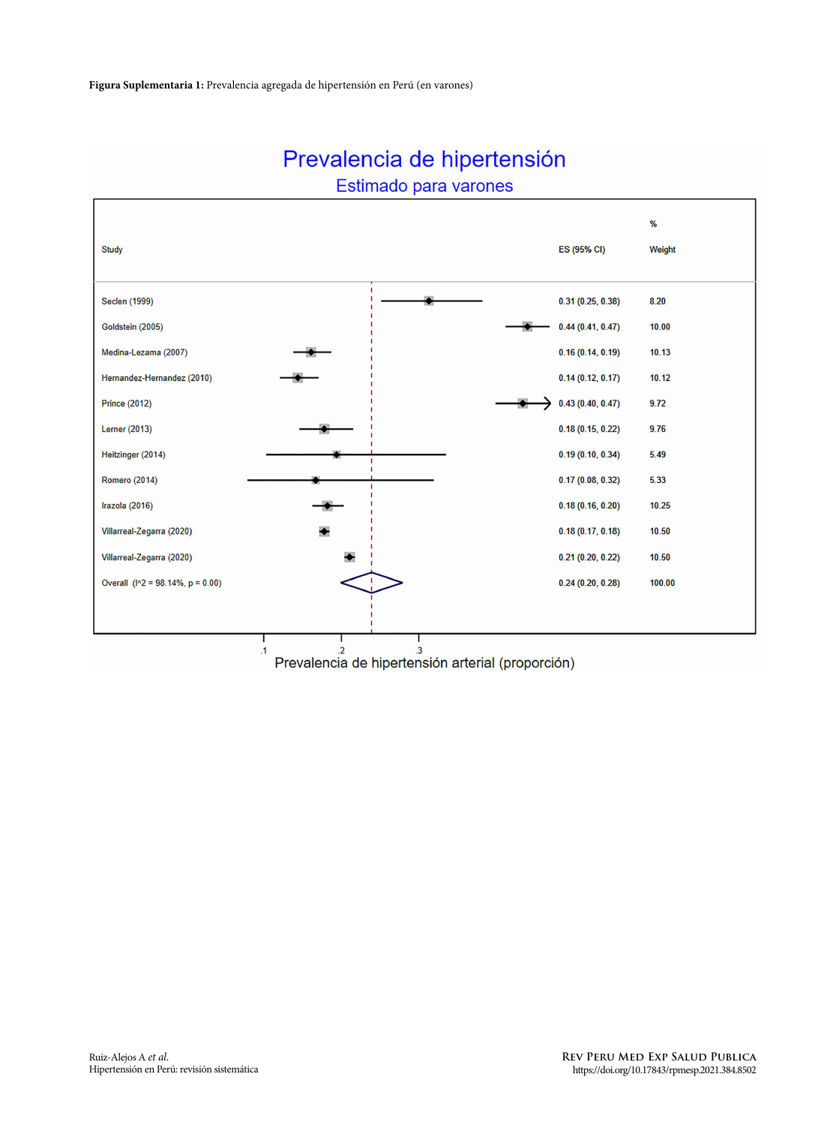

# Prevalencia de hipertensión

Estimado para varones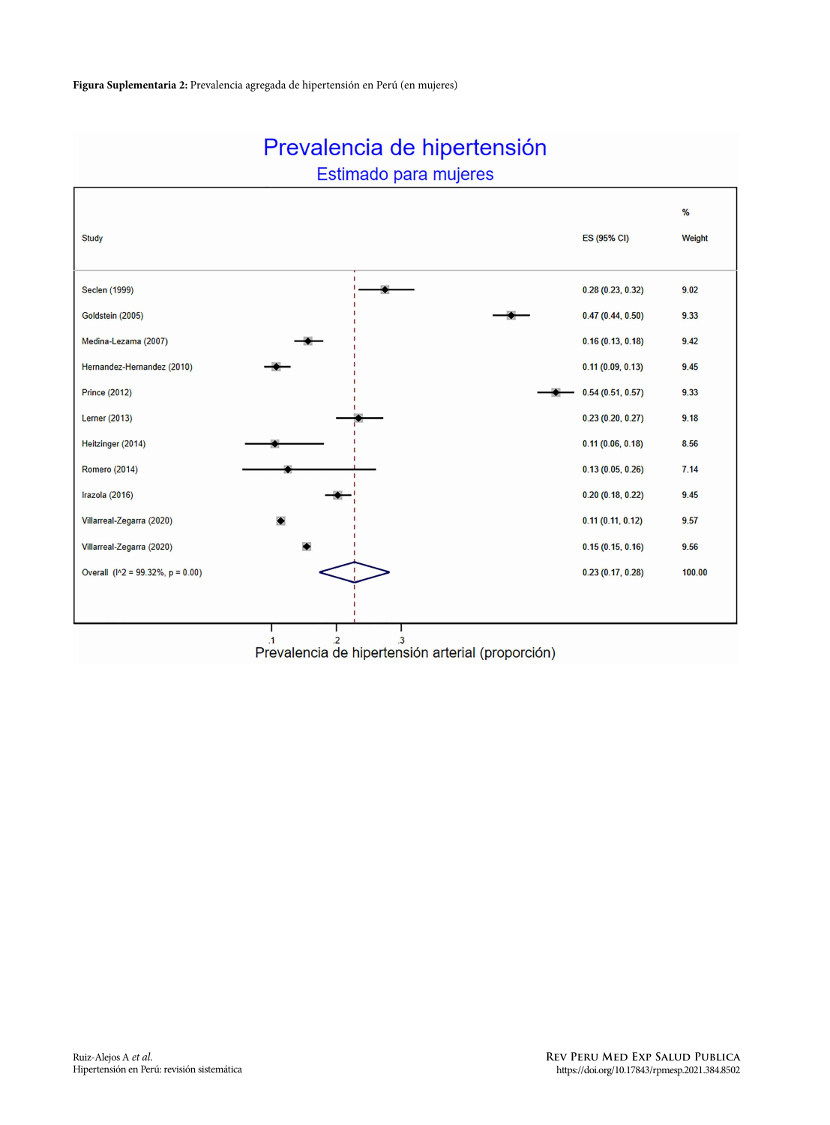

# Prevalencia de hipertensión Estimado para mujeres

Prevalencia de hipertensión arterial (proporción)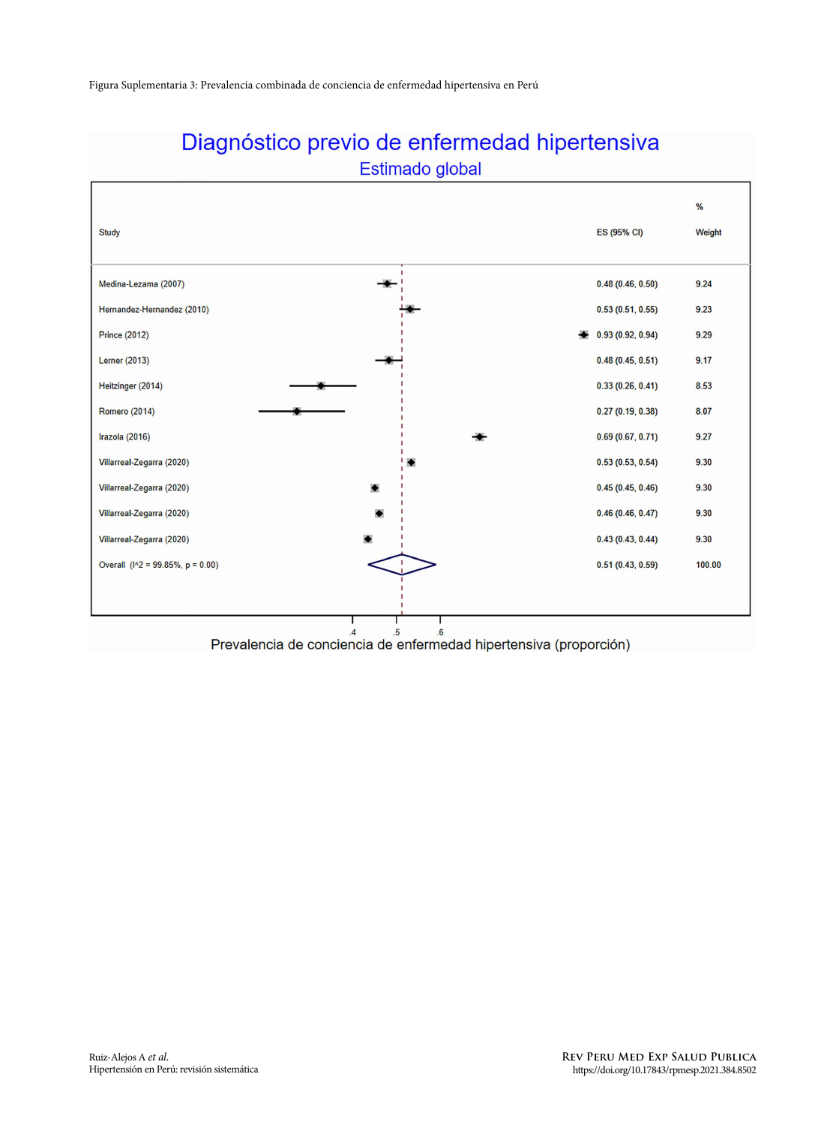

# Diagnóstico previo de enfermedad hipertensiva Estimado global

Prevalencia de conciencia de enfermedad hipertensiva (proporción)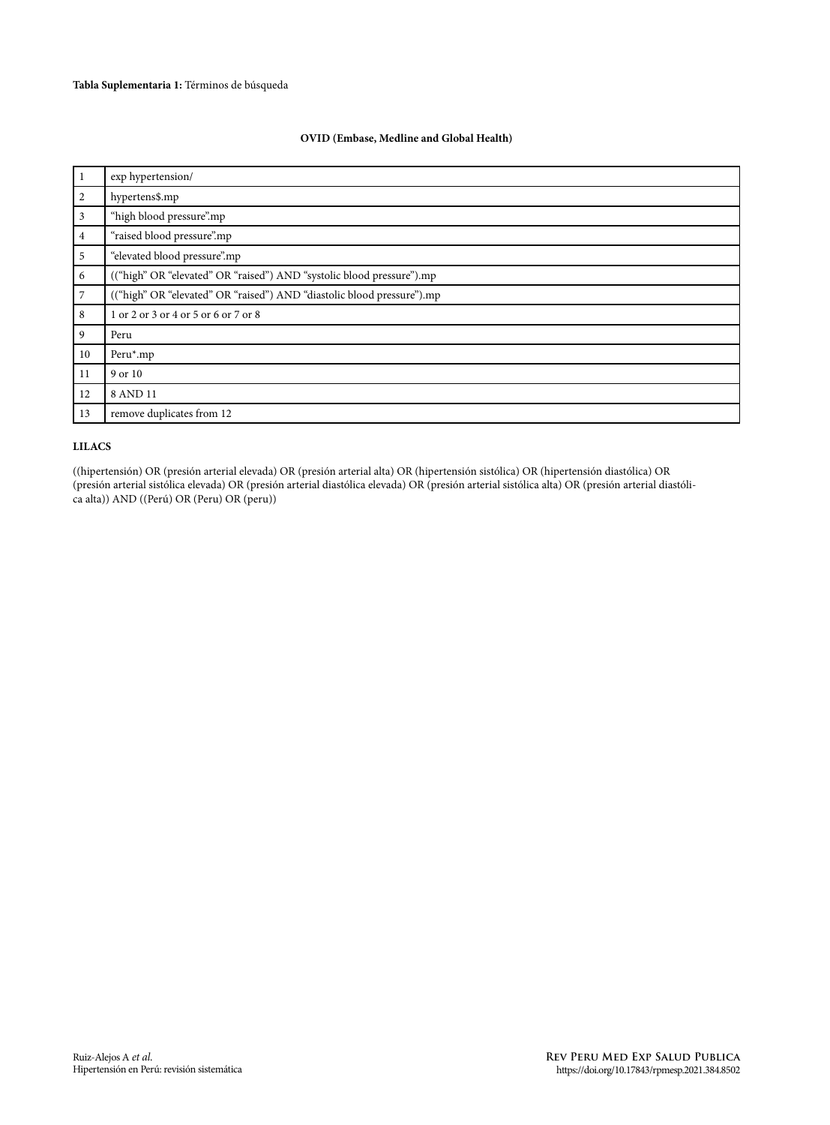#### **OVID (Embase, Medline and Global Health)**

| $\vert$ 1      | exp hypertension/                                                      |  |  |  |
|----------------|------------------------------------------------------------------------|--|--|--|
| 2              | hypertens\$.mp                                                         |  |  |  |
| $\overline{3}$ | "high blood pressure".mp                                               |  |  |  |
| $\overline{4}$ | "raised blood pressure".mp                                             |  |  |  |
| 5              | "elevated blood pressure".mp                                           |  |  |  |
| 6              | (("high" OR "elevated" OR "raised") AND "systolic blood pressure").mp  |  |  |  |
| $\overline{7}$ | (("high" OR "elevated" OR "raised") AND "diastolic blood pressure").mp |  |  |  |
| 8              | 1 or 2 or 3 or 4 or 5 or 6 or 7 or 8                                   |  |  |  |
| 9              | Peru                                                                   |  |  |  |
| 10             | Peru*.mp                                                               |  |  |  |
| 11             | 9 or 10                                                                |  |  |  |
| 12             | 8 AND 11                                                               |  |  |  |
| 13             | remove duplicates from 12                                              |  |  |  |

#### **LILACS**

((hipertensión) OR (presión arterial elevada) OR (presión arterial alta) OR (hipertensión sistólica) OR (hipertensión diastólica) OR (presión arterial sistólica elevada) OR (presión arterial diastólica elevada) OR (presión arterial sistólica alta) OR (presión arterial diastólica alta)) AND ((Perú) OR (Peru) OR (peru))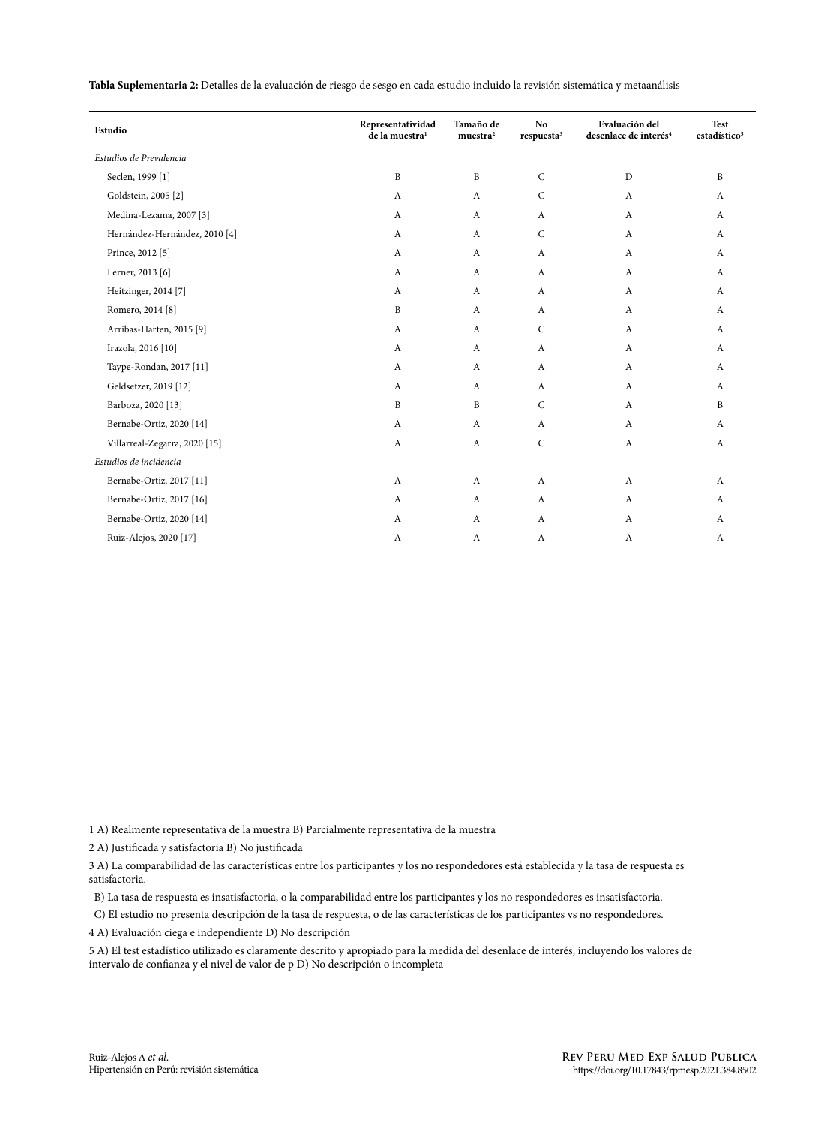| Tabla Suplementaria 2: Detalles de la evaluación de riesgo de sesgo en cada estudio incluido la revisión sistemática y metaanálisis |  |
|-------------------------------------------------------------------------------------------------------------------------------------|--|
|-------------------------------------------------------------------------------------------------------------------------------------|--|

| Estudio                            | Representatividad<br>de la muestra <sup>1</sup> | Tamaño de<br>muestra <sup>2</sup> | N <sub>o</sub><br>respuesta <sup>3</sup> | Evaluación del<br>desenlace de interés <sup>4</sup> | <b>Test</b><br>estadístico <sup>5</sup> |
|------------------------------------|-------------------------------------------------|-----------------------------------|------------------------------------------|-----------------------------------------------------|-----------------------------------------|
| Estudios de Prevalencia            |                                                 |                                   |                                          |                                                     |                                         |
| Seclen, 1999 [1]                   | $\, {\bf B}$                                    | $\, {\bf B}$                      | $\mathsf C$                              | $\mathbf D$                                         | $\, {\bf B}$                            |
| Goldstein, 2005 <sup>[2]</sup>     | A                                               | $\mathbf{A}$                      | $\mathsf C$                              | $\mathbf{A}$                                        | $\mathbf{A}$                            |
| Medina-Lezama, 2007 <sup>[3]</sup> | A                                               | $\mathbf{A}$                      | A                                        | A                                                   | A                                       |
| Hernández-Hernández, 2010 [4]      | A                                               | $\mathbf{A}$                      | $\mathsf{C}$                             | A                                                   | A                                       |
| Prince, 2012 [5]                   | A                                               | $\mathbf{A}$                      | $\mathbf{A}$                             | A                                                   | A                                       |
| Lerner, 2013 [6]                   | A                                               | $\mathbf{A}$                      | A                                        | $\mathbf{A}$                                        | A                                       |
| Heitzinger, 2014 [7]               | A                                               | $\mathbf{A}$                      | A                                        | A                                                   | A                                       |
| Romero, 2014 [8]                   | $\, {\bf B}$                                    | $\mathbf{A}$                      | A                                        | A                                                   | A                                       |
| Arribas-Harten, 2015 [9]           | A                                               | $\mathbf{A}$                      | $\mathsf{C}$                             | $\mathbf{A}$                                        | A                                       |
| Irazola, 2016 [10]                 | A                                               | $\mathbf{A}$                      | A                                        | A                                                   | A                                       |
| Taype-Rondan, 2017 [11]            | A                                               | $\mathbf{A}$                      | A                                        | $\mathbf{A}$                                        | A                                       |
| Geldsetzer, 2019 [12]              | A                                               | $\mathbf{A}$                      | $\mathsf{A}$                             | A                                                   | A                                       |
| Barboza, 2020 [13]                 | B                                               | B                                 | $\mathsf{C}$                             | A                                                   | B                                       |
| Bernabe-Ortiz, 2020 [14]           | A                                               | $\mathbf{A}$                      | A                                        | $\mathbf{A}$                                        | $\mathbf{A}$                            |
| Villarreal-Zegarra, 2020 [15]      | A                                               | $\mathbf{A}$                      | $\mathsf{C}$                             | A                                                   | $\mathbf{A}$                            |
| Estudios de incidencia             |                                                 |                                   |                                          |                                                     |                                         |
| Bernabe-Ortiz, 2017 [11]           | A                                               | $\mathbf{A}$                      | A                                        | A                                                   | $\boldsymbol{A}$                        |
| Bernabe-Ortiz, 2017 [16]           | A                                               | $\mathbf{A}$                      | A                                        | A                                                   | $\mathbf{A}$                            |
| Bernabe-Ortiz, 2020 [14]           | A                                               | A                                 | A                                        | A                                                   | A                                       |
| Ruiz-Alejos, 2020 [17]             | A                                               | $\mathbf{A}$                      | A                                        | A                                                   | A                                       |

1 A) Realmente representativa de la muestra B) Parcialmente representativa de la muestra

2 A) Justificada y satisfactoria B) No justificada

3 A) La comparabilidad de las características entre los participantes y los no respondedores está establecida y la tasa de respuesta es satisfactoria.

B) La tasa de respuesta es insatisfactoria, o la comparabilidad entre los participantes y los no respondedores es insatisfactoria.

C) El estudio no presenta descripción de la tasa de respuesta, o de las características de los participantes vs no respondedores.

4 A) Evaluación ciega e independiente D) No descripción

5 A) El test estadístico utilizado es claramente descrito y apropiado para la medida del desenlace de interés, incluyendo los valores de intervalo de confianza y el nivel de valor de p D) No descripción o incompleta